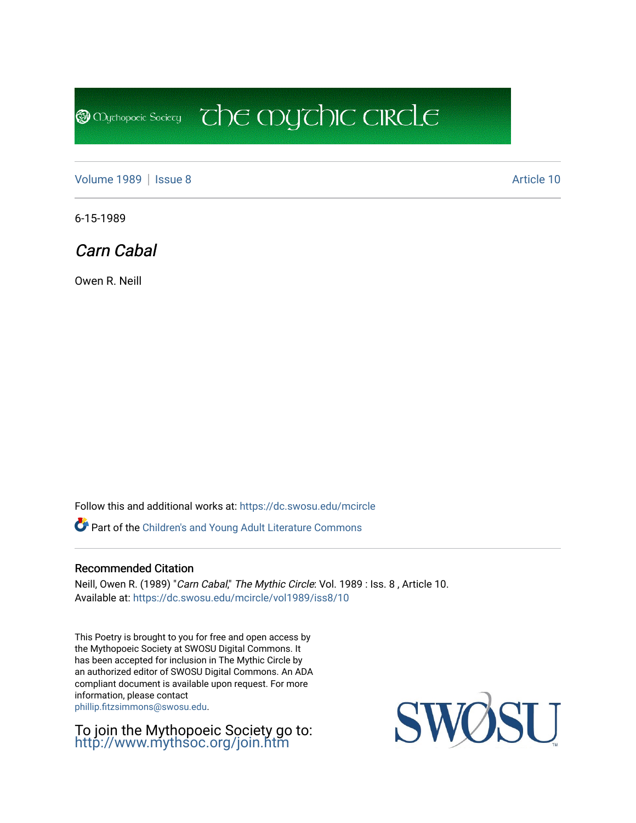[Volume 1989](https://dc.swosu.edu/mcircle/vol1989) | [Issue 8](https://dc.swosu.edu/mcircle/vol1989/iss8) Article 10

**@** Mychopoeic Sociecy

6-15-1989

Carn Cabal

Owen R. Neill

Follow this and additional works at: [https://dc.swosu.edu/mcircle](https://dc.swosu.edu/mcircle?utm_source=dc.swosu.edu%2Fmcircle%2Fvol1989%2Fiss8%2F10&utm_medium=PDF&utm_campaign=PDFCoverPages) 

Part of the [Children's and Young Adult Literature Commons](http://network.bepress.com/hgg/discipline/1289?utm_source=dc.swosu.edu%2Fmcircle%2Fvol1989%2Fiss8%2F10&utm_medium=PDF&utm_campaign=PDFCoverPages) 

#### Recommended Citation

Neill, Owen R. (1989) "Carn Cabal," The Mythic Circle: Vol. 1989 : Iss. 8, Article 10. Available at: [https://dc.swosu.edu/mcircle/vol1989/iss8/10](https://dc.swosu.edu/mcircle/vol1989/iss8/10?utm_source=dc.swosu.edu%2Fmcircle%2Fvol1989%2Fiss8%2F10&utm_medium=PDF&utm_campaign=PDFCoverPages)

 $\mathbb{C}$  the mychic circle

This Poetry is brought to you for free and open access by the Mythopoeic Society at SWOSU Digital Commons. It has been accepted for inclusion in The Mythic Circle by an authorized editor of SWOSU Digital Commons. An ADA compliant document is available upon request. For more information, please contact [phillip.fitzsimmons@swosu.edu](mailto:phillip.fitzsimmons@swosu.edu).

To join the Mythopoeic Society go to: <http://www.mythsoc.org/join.htm>

SWOSU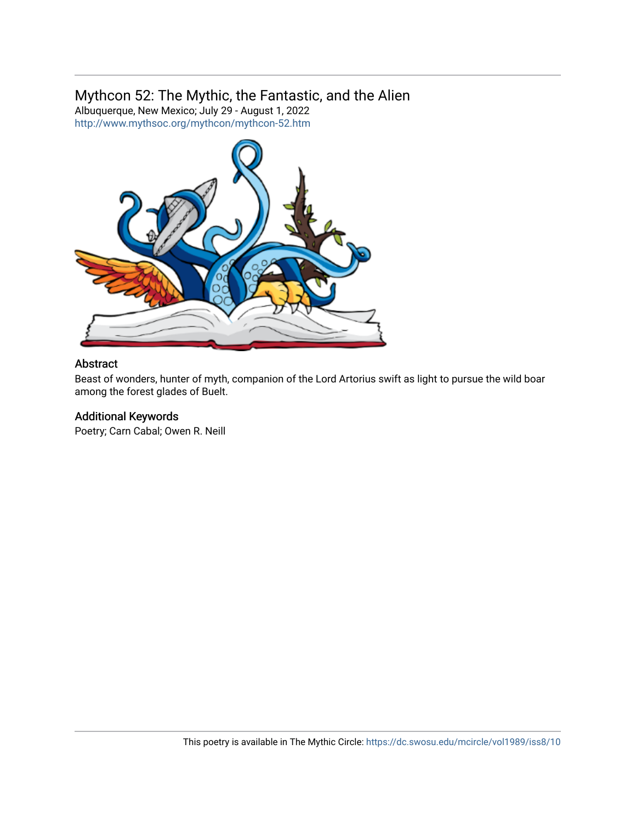# Mythcon 52: The Mythic, the Fantastic, and the Alien

Albuquerque, New Mexico; July 29 - August 1, 2022 <http://www.mythsoc.org/mythcon/mythcon-52.htm>



## Abstract

Beast of wonders, hunter of myth, companion of the Lord Artorius swift as light to pursue the wild boar among the forest glades of Buelt.

## Additional Keywords

Poetry; Carn Cabal; Owen R. Neill